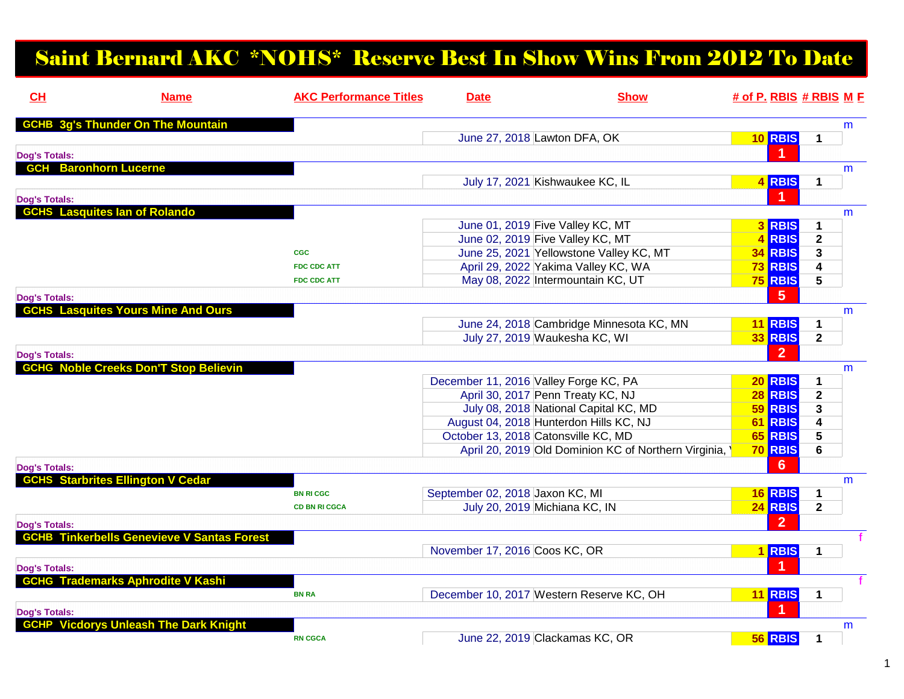## Saint Bernard AKC \*NOHS\* Reserve Best In Show Wins From 2012 To Date

| CH                   | <b>Name</b>                                       | <b>AKC Performance Titles</b> | <b>Date</b>                           | <b>Show</b>                                          | # of P. RBIS # RBIS M E |                |              |   |
|----------------------|---------------------------------------------------|-------------------------------|---------------------------------------|------------------------------------------------------|-------------------------|----------------|--------------|---|
|                      | <b>GCHB 3g's Thunder On The Mountain</b>          |                               |                                       |                                                      |                         |                |              | m |
|                      |                                                   |                               | June 27, 2018 Lawton DFA, OK          |                                                      |                         | 10 RBIS        | 1            |   |
| <b>Dog's Totals:</b> |                                                   |                               |                                       |                                                      |                         |                |              |   |
| <b>GCH</b>           | <b>Baronhorn Lucerne</b>                          |                               |                                       |                                                      |                         |                |              | m |
|                      |                                                   |                               |                                       | July 17, 2021 Kishwaukee KC, IL                      |                         | 4 RBIS         | 1            |   |
| <b>Dog's Totals:</b> |                                                   |                               |                                       |                                                      |                         |                |              |   |
|                      | <b>GCHS</b> Lasquites lan of Rolando              |                               |                                       |                                                      |                         |                |              | m |
|                      |                                                   |                               |                                       | June 01, 2019 Five Valley KC, MT                     |                         | 3 RBIS         | 1            |   |
|                      |                                                   |                               |                                       | June 02, 2019 Five Valley KC, MT                     | $\overline{\mathbf{4}}$ | <b>RBIS</b>    | $\mathbf{2}$ |   |
|                      |                                                   | <b>CGC</b>                    |                                       | June 25, 2021 Yellowstone Valley KC, MT              |                         | <b>34 RBIS</b> | 3            |   |
|                      |                                                   | <b>FDC CDC ATT</b>            |                                       | April 29, 2022 Yakima Valley KC, WA                  |                         | <b>73 RBIS</b> | 4            |   |
|                      |                                                   | <b>FDC CDC ATT</b>            |                                       | May 08, 2022 Intermountain KC, UT                    |                         | <b>75 RBIS</b> | 5            |   |
| <b>Dog's Totals:</b> |                                                   |                               |                                       |                                                      |                         | 5              |              |   |
|                      | <b>GCHS Lasquites Yours Mine And Ours</b>         |                               |                                       |                                                      |                         |                |              | m |
|                      |                                                   |                               |                                       | June 24, 2018 Cambridge Minnesota KC, MN             |                         | <b>11 RBIS</b> | 1            |   |
|                      |                                                   |                               |                                       | July 27, 2019 Waukesha KC, WI                        |                         | <b>33 RBIS</b> | $\mathbf{2}$ |   |
| <b>Dog's Totals:</b> |                                                   |                               |                                       |                                                      |                         | $\overline{2}$ |              |   |
|                      | <b>GCHG Noble Creeks Don'T Stop Believin</b>      |                               |                                       |                                                      |                         |                |              | m |
|                      |                                                   |                               | December 11, 2016 Valley Forge KC, PA |                                                      |                         | <b>20 RBIS</b> | 1            |   |
|                      |                                                   |                               |                                       | April 30, 2017 Penn Treaty KC, NJ                    |                         | 28 RBIS        | $\mathbf{2}$ |   |
|                      |                                                   |                               |                                       | July 08, 2018 National Capital KC, MD                |                         | 59 RBIS        | 3            |   |
|                      |                                                   |                               |                                       | August 04, 2018 Hunterdon Hills KC, NJ               |                         | 61 RBIS        | 4            |   |
|                      |                                                   |                               | October 13, 2018 Catonsville KC, MD   |                                                      |                         | 65 RBIS        | 5            |   |
|                      |                                                   |                               |                                       | April 20, 2019 Old Dominion KC of Northern Virginia, |                         | <b>70 RBIS</b> | 6            |   |
| <b>Dog's Totals:</b> |                                                   |                               |                                       |                                                      |                         | 6              |              |   |
|                      | <b>GCHS Starbrites Ellington V Cedar</b>          |                               |                                       |                                                      |                         |                |              | m |
|                      |                                                   | <b>BN RI CGC</b>              | September 02, 2018 Jaxon KC, MI       |                                                      |                         | 16 RBIS        | $\mathbf 1$  |   |
|                      |                                                   | <b>CD BN RI CGCA</b>          | July 20, 2019 Michiana KC, IN         |                                                      |                         | <b>24 RBIS</b> | $\mathbf 2$  |   |
| <b>Dog's Totals:</b> |                                                   |                               |                                       |                                                      |                         | $\mathbf{c}$   |              |   |
|                      | <b>GCHB Tinkerbells Genevieve V Santas Forest</b> |                               |                                       |                                                      |                         |                |              |   |
|                      |                                                   |                               | November 17, 2016 Coos KC, OR         |                                                      |                         | 1 RBIS         | 1            |   |
|                      |                                                   |                               |                                       |                                                      |                         | 4              |              |   |
| <b>Dog's Totals:</b> |                                                   |                               |                                       |                                                      |                         |                |              |   |
|                      | <b>GCHG Trademarks Aphrodite V Kashi</b>          |                               |                                       |                                                      |                         |                |              |   |
|                      |                                                   | <b>BN RA</b>                  |                                       | December 10, 2017 Western Reserve KC, OH             |                         | <b>11 RBIS</b> | 1            |   |
| <b>Dog's Totals:</b> |                                                   |                               |                                       |                                                      |                         |                |              |   |
|                      | <b>GCHP Vicdorys Unleash The Dark Knight</b>      |                               |                                       |                                                      |                         |                |              | m |
|                      |                                                   | <b>RN CGCA</b>                |                                       | June 22, 2019 Clackamas KC, OR                       |                         | 56 RBIS        | 1            |   |